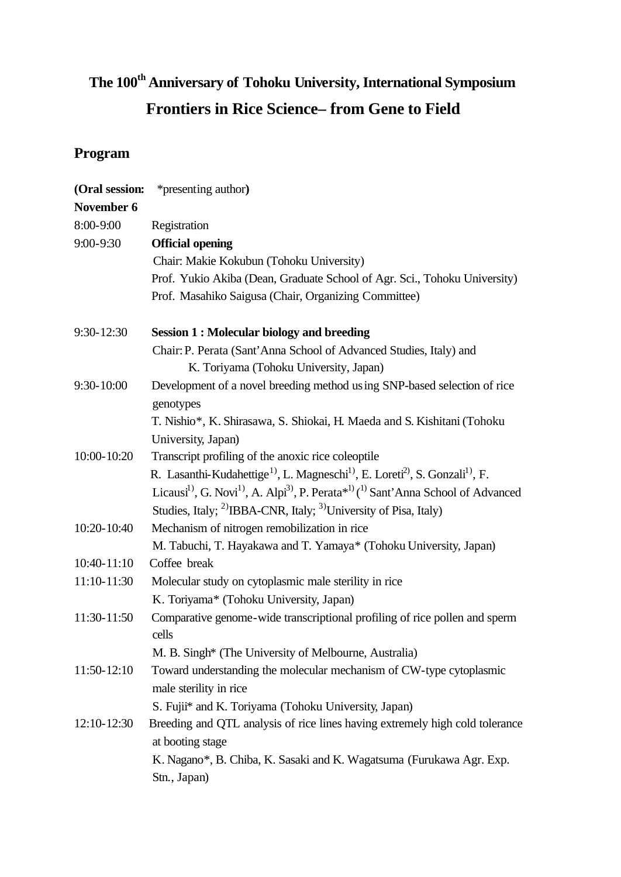## **The 100th Anniversary of Tohoku University, International Symposium Frontiers in Rice Science– from Gene to Field**

## **Program**

| (Oral session:  | *presenting author)                                                                                                                           |
|-----------------|-----------------------------------------------------------------------------------------------------------------------------------------------|
| November 6      |                                                                                                                                               |
| 8:00-9:00       | Registration                                                                                                                                  |
| 9:00-9:30       | <b>Official opening</b>                                                                                                                       |
|                 | Chair: Makie Kokubun (Tohoku University)                                                                                                      |
|                 | Prof. Yukio Akiba (Dean, Graduate School of Agr. Sci., Tohoku University)                                                                     |
|                 | Prof. Masahiko Saigusa (Chair, Organizing Committee)                                                                                          |
| 9:30-12:30      | <b>Session 1: Molecular biology and breeding</b>                                                                                              |
|                 | Chair: P. Perata (Sant'Anna School of Advanced Studies, Italy) and                                                                            |
|                 | K. Toriyama (Tohoku University, Japan)                                                                                                        |
| $9:30 - 10:00$  | Development of a novel breeding method using SNP-based selection of rice<br>genotypes                                                         |
|                 | T. Nishio*, K. Shirasawa, S. Shiokai, H. Maeda and S. Kishitani (Tohoku                                                                       |
|                 | University, Japan)                                                                                                                            |
| 10:00-10:20     | Transcript profiling of the anoxic rice coleoptile                                                                                            |
|                 | R. Lasanthi-Kudahettige <sup>1)</sup> , L. Magneschi <sup>1)</sup> , E. Loreti <sup>2)</sup> , S. Gonzali <sup>1)</sup> , F.                  |
|                 | Licausi <sup>1)</sup> , G. Novi <sup>1)</sup> , A. Alpi <sup>3)</sup> , P. Perata <sup>*1)</sup> ( <sup>1)</sup> Sant'Anna School of Advanced |
|                 | Studies, Italy; <sup>2)</sup> IBBA-CNR, Italy; <sup>3)</sup> University of Pisa, Italy)                                                       |
| 10:20-10:40     | Mechanism of nitrogen remobilization in rice                                                                                                  |
|                 | M. Tabuchi, T. Hayakawa and T. Yamaya* (Tohoku University, Japan)                                                                             |
| 10:40-11:10     | Coffee break                                                                                                                                  |
| 11:10-11:30     | Molecular study on cytoplasmic male sterility in rice                                                                                         |
|                 | K. Toriyama* (Tohoku University, Japan)                                                                                                       |
| 11:30-11:50     | Comparative genome-wide transcriptional profiling of rice pollen and sperm<br>cells                                                           |
|                 | M. B. Singh* (The University of Melbourne, Australia)                                                                                         |
| $11:50-12:10$   | Toward understanding the molecular mechanism of CW-type cytoplasmic                                                                           |
|                 | male sterility in rice                                                                                                                        |
|                 | S. Fujii* and K. Toriyama (Tohoku University, Japan)                                                                                          |
| $12:10 - 12:30$ | Breeding and QTL analysis of rice lines having extremely high cold tolerance                                                                  |
|                 | at booting stage                                                                                                                              |
|                 | K. Nagano*, B. Chiba, K. Sasaki and K. Wagatsuma (Furukawa Agr. Exp.                                                                          |
|                 | Stn., Japan)                                                                                                                                  |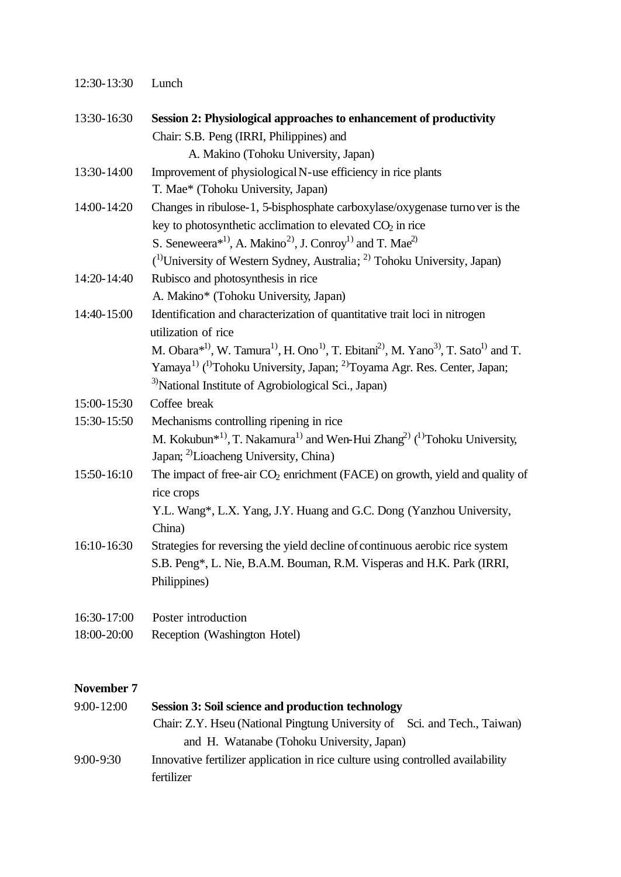| 13:30-16:30 | Session 2: Physiological approaches to enhancement of productivity                                                                                                                                                     |
|-------------|------------------------------------------------------------------------------------------------------------------------------------------------------------------------------------------------------------------------|
|             | Chair: S.B. Peng (IRRI, Philippines) and                                                                                                                                                                               |
|             | A. Makino (Tohoku University, Japan)                                                                                                                                                                                   |
| 13:30-14:00 | Improvement of physiological N-use efficiency in rice plants                                                                                                                                                           |
|             | T. Mae* (Tohoku University, Japan)                                                                                                                                                                                     |
| 14:00-14:20 | Changes in ribulose-1, 5-bisphosphate carboxylase/oxygenase turno ver is the                                                                                                                                           |
|             | key to photosynthetic acclimation to elevated $CO2$ in rice                                                                                                                                                            |
|             | S. Seneweera <sup>*1</sup> , A. Makino <sup>2</sup> , J. Conroy <sup>1</sup> and T. Mae <sup>2</sup>                                                                                                                   |
|             | <sup>(1)</sup> University of Western Sydney, Australia; <sup>2)</sup> Tohoku University, Japan)                                                                                                                        |
| 14:20-14:40 | Rubisco and photosynthesis in rice                                                                                                                                                                                     |
|             | A. Makino* (Tohoku University, Japan)                                                                                                                                                                                  |
| 14:40-15:00 | Identification and characterization of quantitative trait loci in nitrogen                                                                                                                                             |
|             | utilization of rice                                                                                                                                                                                                    |
|             | M. Obara* <sup>1)</sup> , W. Tamura <sup>1</sup> <sup>)</sup> , H. Ono <sup>1</sup> <sup>)</sup> , T. Ebitani <sup>2</sup> <sup>)</sup> , M. Yano <sup>3</sup> <sup>)</sup> , T. Sato <sup>1</sup> <sup>)</sup> and T. |
|             | Yamaya <sup>1)</sup> ( <sup>1)</sup> Tohoku University, Japan; <sup>2)</sup> Toyama Agr. Res. Center, Japan;                                                                                                           |
|             | <sup>3)</sup> National Institute of Agrobiological Sci., Japan)                                                                                                                                                        |
| 15:00-15:30 | Coffee break                                                                                                                                                                                                           |
| 15:30-15:50 | Mechanisms controlling ripening in rice                                                                                                                                                                                |
|             | M. Kokubun <sup>*1)</sup> , T. Nakamura <sup>1)</sup> and Wen-Hui Zhang <sup>2)</sup> ( <sup>1)</sup> Tohoku University,                                                                                               |
|             | Japan; <sup>2)</sup> Lioacheng University, China)                                                                                                                                                                      |
| 15:50-16:10 | The impact of free-air $CO2$ enrichment (FACE) on growth, yield and quality of                                                                                                                                         |
|             | rice crops                                                                                                                                                                                                             |
|             | Y.L. Wang*, L.X. Yang, J.Y. Huang and G.C. Dong (Yanzhou University,                                                                                                                                                   |
|             | China)                                                                                                                                                                                                                 |
| 16:10-16:30 | Strategies for reversing the yield decline of continuous aerobic rice system                                                                                                                                           |
|             | S.B. Peng*, L. Nie, B.A.M. Bouman, R.M. Visperas and H.K. Park (IRRI,                                                                                                                                                  |
|             | Philippines)                                                                                                                                                                                                           |
| 16:30-17:00 | Poster introduction                                                                                                                                                                                                    |

18:00-20:00 Reception (Washington Hotel)

## **November 7**

| $9:00 - 12:00$ | <b>Session 3: Soil science and production technology</b>                        |
|----------------|---------------------------------------------------------------------------------|
|                | Chair: Z.Y. Hseu (National Pingtung University of Sci. and Tech., Taiwan)       |
|                | and H. Watanabe (Tohoku University, Japan)                                      |
| 9:00-9:30      | Innovative fertilizer application in rice culture using controlled availability |
|                | fertilizer                                                                      |